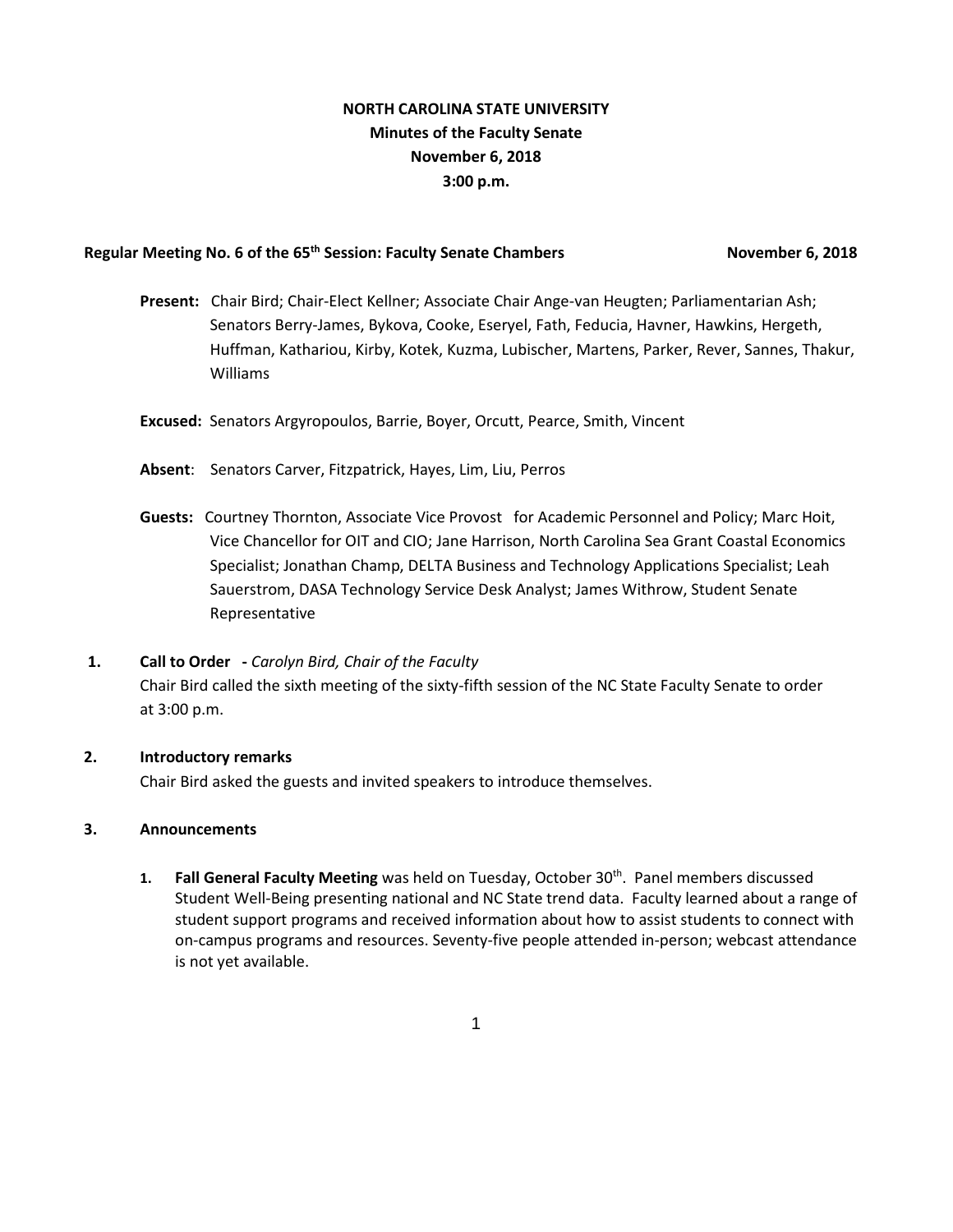# **NORTH CAROLINA STATE UNIVERSITY Minutes of the Faculty Senate November 6, 2018 3:00 p.m.**

# Regular Meeting No. 6 of the 65<sup>th</sup> Session: Faculty Senate Chambers November 6, 2018

- **Present:** Chair Bird; Chair-Elect Kellner; Associate Chair Ange-van Heugten; Parliamentarian Ash; Senators Berry-James, Bykova, Cooke, Eseryel, Fath, Feducia, Havner, Hawkins, Hergeth, Huffman, Kathariou, Kirby, Kotek, Kuzma, Lubischer, Martens, Parker, Rever, Sannes, Thakur, Williams
- **Excused:** Senators Argyropoulos, Barrie, Boyer, Orcutt, Pearce, Smith, Vincent
- **Absent**: Senators Carver, Fitzpatrick, Hayes, Lim, Liu, Perros
- **Guests:** Courtney Thornton, Associate Vice Provost for Academic Personnel and Policy; Marc Hoit, Vice Chancellor for OIT and CIO; Jane Harrison, North Carolina Sea Grant Coastal Economics Specialist; Jonathan Champ, DELTA Business and Technology Applications Specialist; Leah Sauerstrom, DASA Technology Service Desk Analyst; James Withrow, Student Senate Representative

# **1. Call to Order -** *Carolyn Bird, Chair of the Faculty* Chair Bird called the sixth meeting of the sixty-fifth session of the NC State Faculty Senate to order at 3:00 p.m.

## **2. Introductory remarks**

Chair Bird asked the guests and invited speakers to introduce themselves.

## **3. Announcements**

**1. Fall General Faculty Meeting** was held on Tuesday, October 30th. Panel members discussed Student Well-Being presenting national and NC State trend data. Faculty learned about a range of student support programs and received information about how to assist students to connect with on-campus programs and resources. Seventy-five people attended in-person; webcast attendance is not yet available.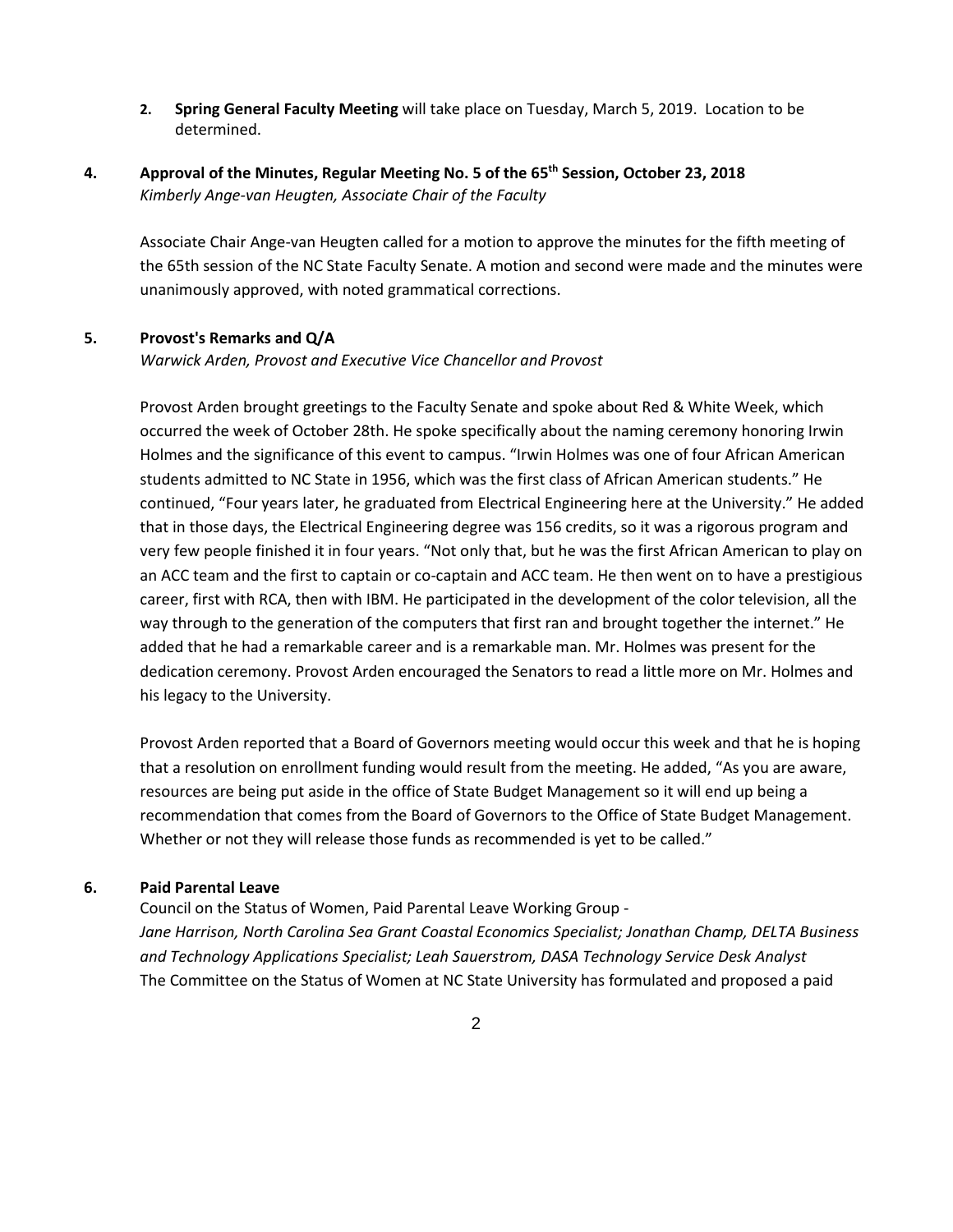**2. Spring General Faculty Meeting** will take place on Tuesday, March 5, 2019. Location to be determined.

# **4. Approval of the Minutes, Regular Meeting No. 5 of the 65th Session, October 23, 2018**  *Kimberly Ange-van Heugten, Associate Chair of the Faculty*

Associate Chair Ange-van Heugten called for a motion to approve the minutes for the fifth meeting of the 65th session of the NC State Faculty Senate. A motion and second were made and the minutes were unanimously approved, with noted grammatical corrections.

## **5. Provost's Remarks and Q/A**

*Warwick Arden, Provost and Executive Vice Chancellor and Provost*

Provost Arden brought greetings to the Faculty Senate and spoke about Red & White Week, which occurred the week of October 28th. He spoke specifically about the naming ceremony honoring Irwin Holmes and the significance of this event to campus. "Irwin Holmes was one of four African American students admitted to NC State in 1956, which was the first class of African American students." He continued, "Four years later, he graduated from Electrical Engineering here at the University." He added that in those days, the Electrical Engineering degree was 156 credits, so it was a rigorous program and very few people finished it in four years. "Not only that, but he was the first African American to play on an ACC team and the first to captain or co-captain and ACC team. He then went on to have a prestigious career, first with RCA, then with IBM. He participated in the development of the color television, all the way through to the generation of the computers that first ran and brought together the internet." He added that he had a remarkable career and is a remarkable man. Mr. Holmes was present for the dedication ceremony. Provost Arden encouraged the Senators to read a little more on Mr. Holmes and his legacy to the University.

Provost Arden reported that a Board of Governors meeting would occur this week and that he is hoping that a resolution on enrollment funding would result from the meeting. He added, "As you are aware, resources are being put aside in the office of State Budget Management so it will end up being a recommendation that comes from the Board of Governors to the Office of State Budget Management. Whether or not they will release those funds as recommended is yet to be called."

### **6. Paid Parental Leave**

Council on the Status of Women, Paid Parental Leave Working Group - *Jane Harrison, North Carolina Sea Grant Coastal Economics Specialist; Jonathan Champ, DELTA Business and Technology Applications Specialist; Leah Sauerstrom, DASA Technology Service Desk Analyst* The Committee on the Status of Women at NC State University has formulated and proposed a paid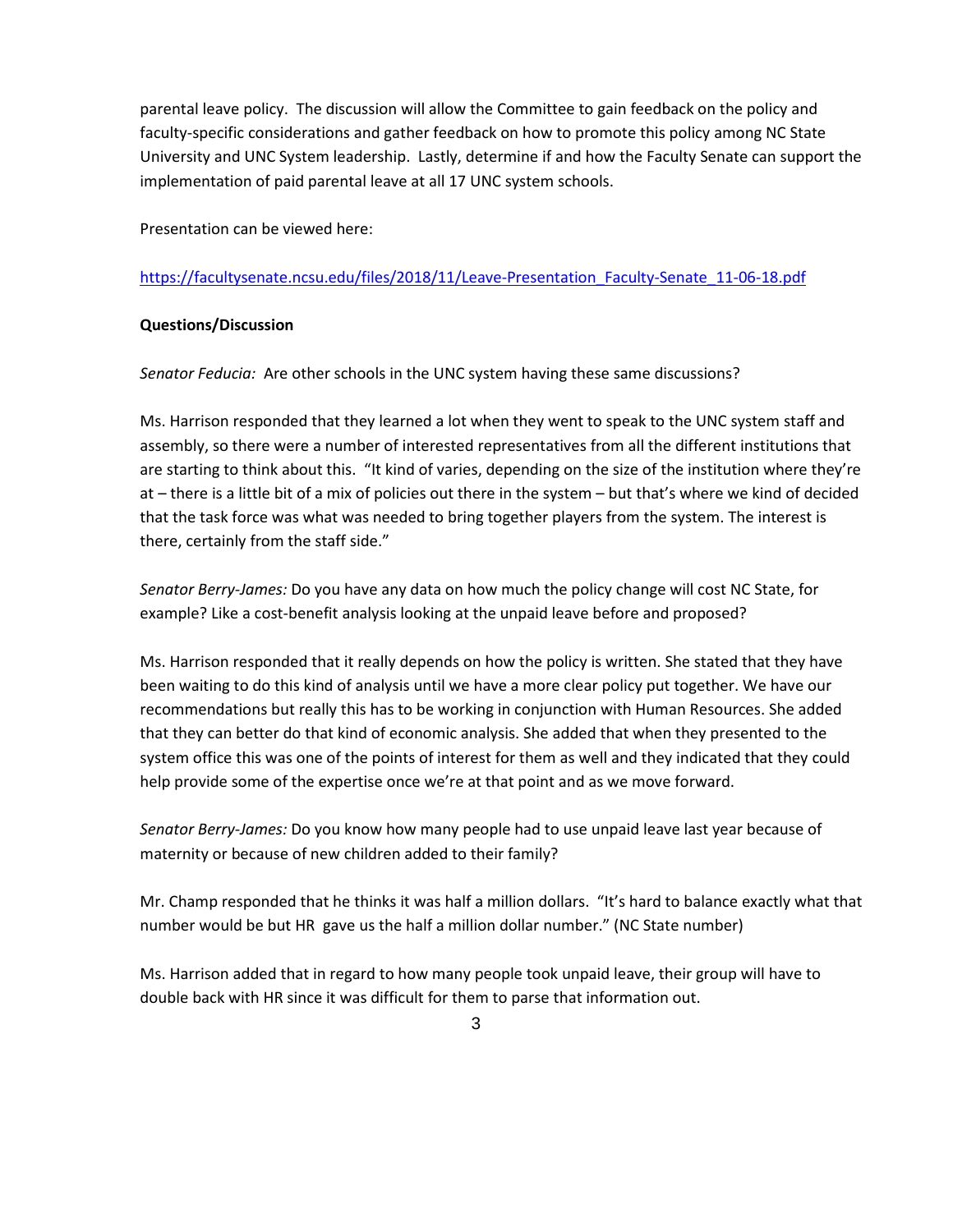parental leave policy. The discussion will allow the Committee to gain feedback on the policy and faculty-specific considerations and gather feedback on how to promote this policy among NC State University and UNC System leadership. Lastly, determine if and how the Faculty Senate can support the implementation of paid parental leave at all 17 UNC system schools.

Presentation can be viewed here:

[https://facultysenate.ncsu.edu/files/2018/11/Leave-Presentation\\_Faculty-Senate\\_11-06-18.pdf](https://facultysenate.ncsu.edu/files/2018/11/Leave-Presentation_Faculty-Senate_11-06-18.pdf)

## **Questions/Discussion**

*Senator Feducia:* Are other schools in the UNC system having these same discussions?

Ms. Harrison responded that they learned a lot when they went to speak to the UNC system staff and assembly, so there were a number of interested representatives from all the different institutions that are starting to think about this. "It kind of varies, depending on the size of the institution where they're at – there is a little bit of a mix of policies out there in the system – but that's where we kind of decided that the task force was what was needed to bring together players from the system. The interest is there, certainly from the staff side."

*Senator Berry-James:* Do you have any data on how much the policy change will cost NC State, for example? Like a cost-benefit analysis looking at the unpaid leave before and proposed?

Ms. Harrison responded that it really depends on how the policy is written. She stated that they have been waiting to do this kind of analysis until we have a more clear policy put together. We have our recommendations but really this has to be working in conjunction with Human Resources. She added that they can better do that kind of economic analysis. She added that when they presented to the system office this was one of the points of interest for them as well and they indicated that they could help provide some of the expertise once we're at that point and as we move forward.

*Senator Berry-James:* Do you know how many people had to use unpaid leave last year because of maternity or because of new children added to their family?

Mr. Champ responded that he thinks it was half a million dollars. "It's hard to balance exactly what that number would be but HR gave us the half a million dollar number." (NC State number)

Ms. Harrison added that in regard to how many people took unpaid leave, their group will have to double back with HR since it was difficult for them to parse that information out.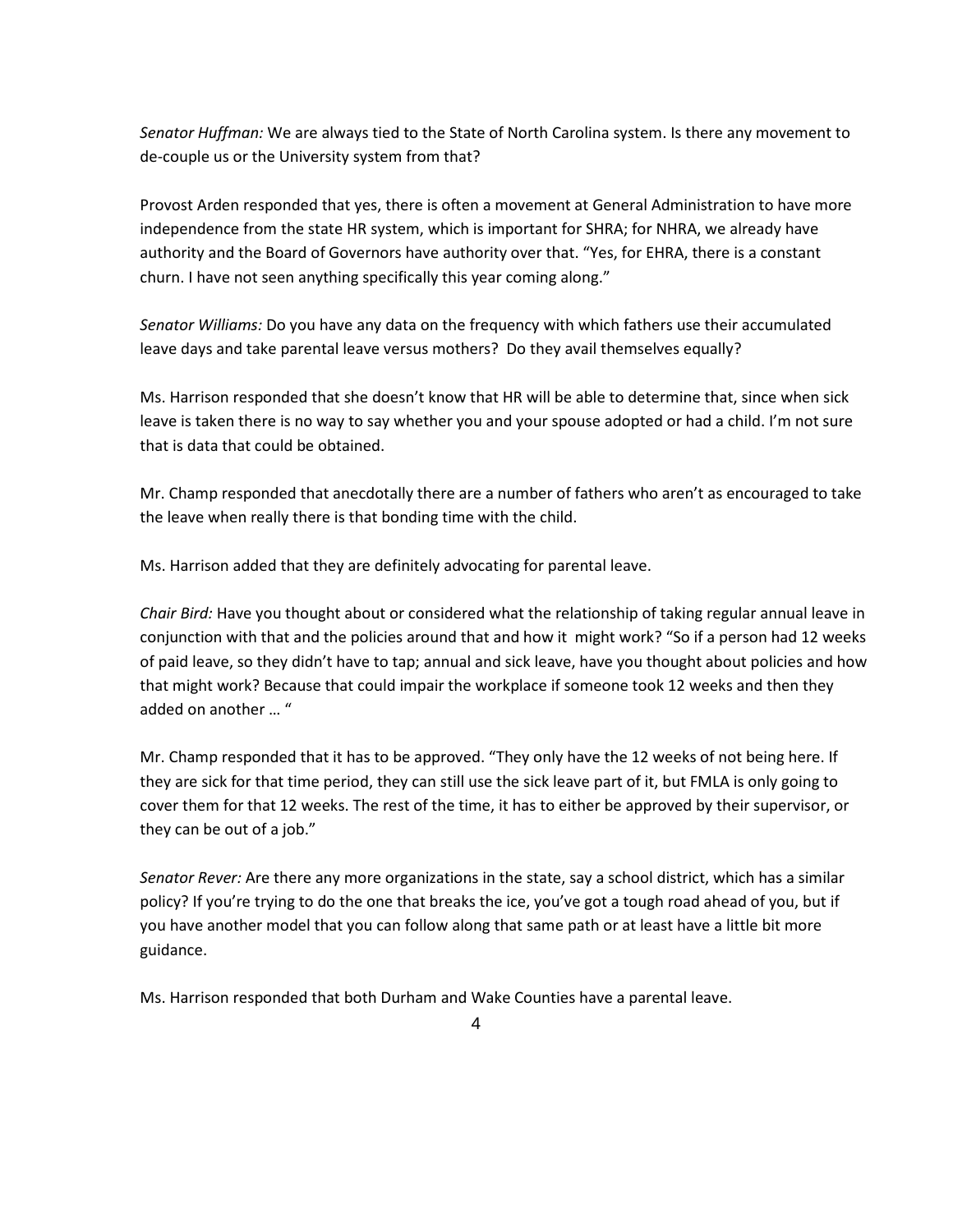*Senator Huffman:* We are always tied to the State of North Carolina system. Is there any movement to de-couple us or the University system from that?

Provost Arden responded that yes, there is often a movement at General Administration to have more independence from the state HR system, which is important for SHRA; for NHRA, we already have authority and the Board of Governors have authority over that. "Yes, for EHRA, there is a constant churn. I have not seen anything specifically this year coming along."

*Senator Williams:* Do you have any data on the frequency with which fathers use their accumulated leave days and take parental leave versus mothers? Do they avail themselves equally?

Ms. Harrison responded that she doesn't know that HR will be able to determine that, since when sick leave is taken there is no way to say whether you and your spouse adopted or had a child. I'm not sure that is data that could be obtained.

Mr. Champ responded that anecdotally there are a number of fathers who aren't as encouraged to take the leave when really there is that bonding time with the child.

Ms. Harrison added that they are definitely advocating for parental leave.

*Chair Bird:* Have you thought about or considered what the relationship of taking regular annual leave in conjunction with that and the policies around that and how it might work? "So if a person had 12 weeks of paid leave, so they didn't have to tap; annual and sick leave, have you thought about policies and how that might work? Because that could impair the workplace if someone took 12 weeks and then they added on another … "

Mr. Champ responded that it has to be approved. "They only have the 12 weeks of not being here. If they are sick for that time period, they can still use the sick leave part of it, but FMLA is only going to cover them for that 12 weeks. The rest of the time, it has to either be approved by their supervisor, or they can be out of a job."

*Senator Rever:* Are there any more organizations in the state, say a school district, which has a similar policy? If you're trying to do the one that breaks the ice, you've got a tough road ahead of you, but if you have another model that you can follow along that same path or at least have a little bit more guidance.

Ms. Harrison responded that both Durham and Wake Counties have a parental leave.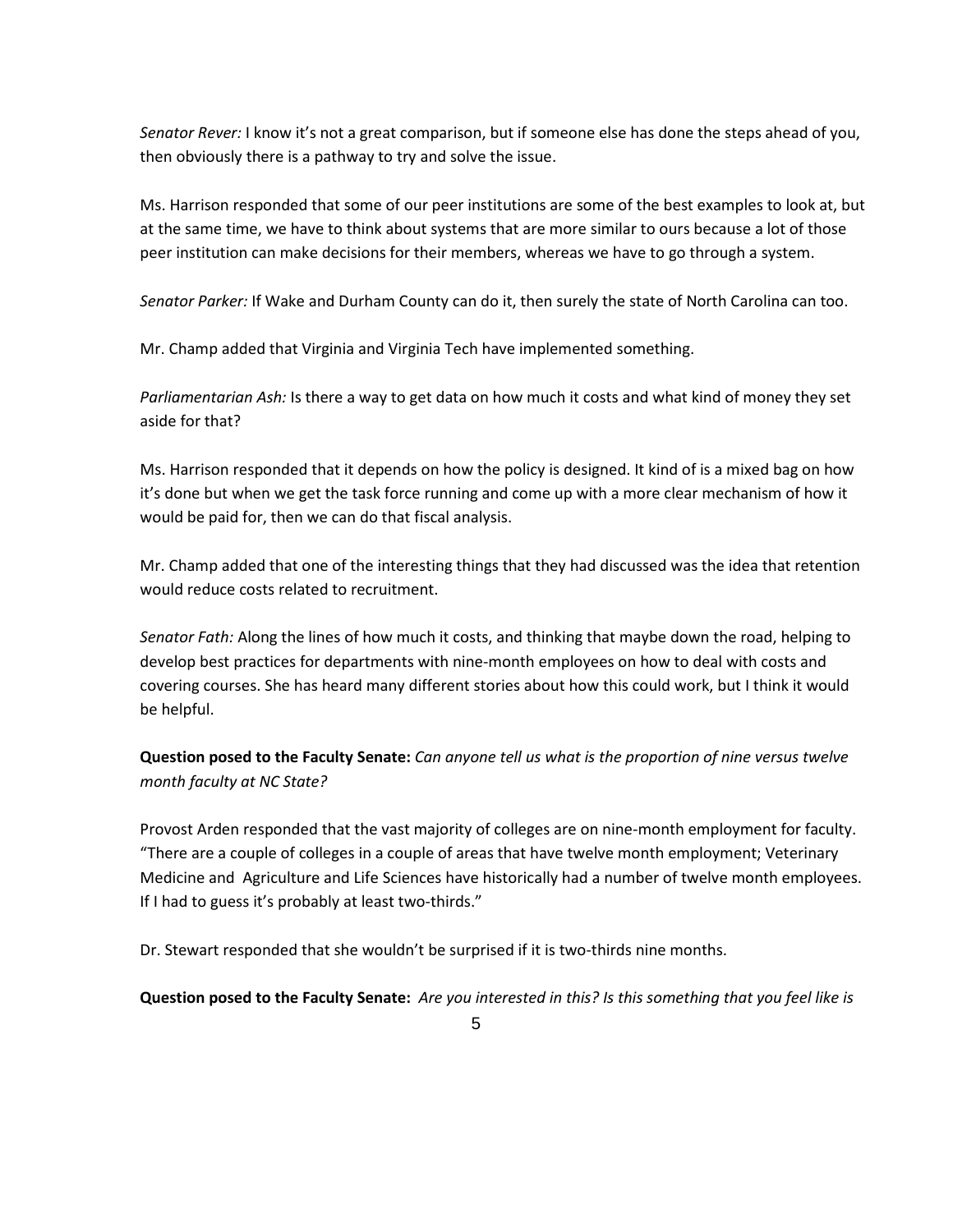*Senator Rever:* I know it's not a great comparison, but if someone else has done the steps ahead of you, then obviously there is a pathway to try and solve the issue.

Ms. Harrison responded that some of our peer institutions are some of the best examples to look at, but at the same time, we have to think about systems that are more similar to ours because a lot of those peer institution can make decisions for their members, whereas we have to go through a system.

*Senator Parker:* If Wake and Durham County can do it, then surely the state of North Carolina can too.

Mr. Champ added that Virginia and Virginia Tech have implemented something.

*Parliamentarian Ash:* Is there a way to get data on how much it costs and what kind of money they set aside for that?

Ms. Harrison responded that it depends on how the policy is designed. It kind of is a mixed bag on how it's done but when we get the task force running and come up with a more clear mechanism of how it would be paid for, then we can do that fiscal analysis.

Mr. Champ added that one of the interesting things that they had discussed was the idea that retention would reduce costs related to recruitment.

*Senator Fath:* Along the lines of how much it costs, and thinking that maybe down the road, helping to develop best practices for departments with nine-month employees on how to deal with costs and covering courses. She has heard many different stories about how this could work, but I think it would be helpful.

**Question posed to the Faculty Senate:** *Can anyone tell us what is the proportion of nine versus twelve month faculty at NC State?*

Provost Arden responded that the vast majority of colleges are on nine-month employment for faculty. "There are a couple of colleges in a couple of areas that have twelve month employment; Veterinary Medicine and Agriculture and Life Sciences have historically had a number of twelve month employees. If I had to guess it's probably at least two-thirds."

Dr. Stewart responded that she wouldn't be surprised if it is two-thirds nine months.

**Question posed to the Faculty Senate:** *Are you interested in this? Is this something that you feel like is*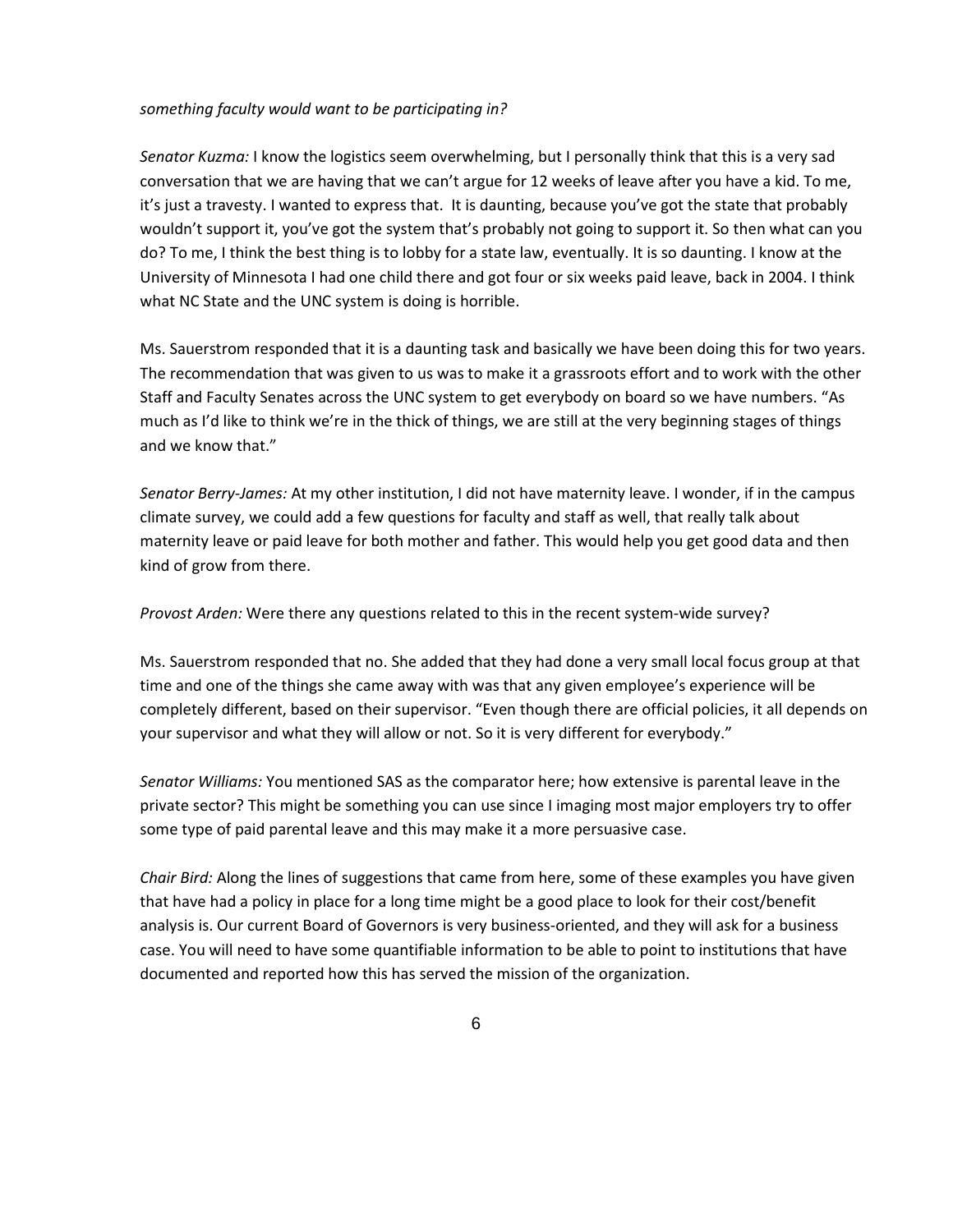#### *something faculty would want to be participating in?*

*Senator Kuzma:* I know the logistics seem overwhelming, but I personally think that this is a very sad conversation that we are having that we can't argue for 12 weeks of leave after you have a kid. To me, it's just a travesty. I wanted to express that. It is daunting, because you've got the state that probably wouldn't support it, you've got the system that's probably not going to support it. So then what can you do? To me, I think the best thing is to lobby for a state law, eventually. It is so daunting. I know at the University of Minnesota I had one child there and got four or six weeks paid leave, back in 2004. I think what NC State and the UNC system is doing is horrible.

Ms. Sauerstrom responded that it is a daunting task and basically we have been doing this for two years. The recommendation that was given to us was to make it a grassroots effort and to work with the other Staff and Faculty Senates across the UNC system to get everybody on board so we have numbers. "As much as I'd like to think we're in the thick of things, we are still at the very beginning stages of things and we know that."

*Senator Berry-James:* At my other institution, I did not have maternity leave. I wonder, if in the campus climate survey, we could add a few questions for faculty and staff as well, that really talk about maternity leave or paid leave for both mother and father. This would help you get good data and then kind of grow from there.

*Provost Arden:* Were there any questions related to this in the recent system-wide survey?

Ms. Sauerstrom responded that no. She added that they had done a very small local focus group at that time and one of the things she came away with was that any given employee's experience will be completely different, based on their supervisor. "Even though there are official policies, it all depends on your supervisor and what they will allow or not. So it is very different for everybody."

*Senator Williams:* You mentioned SAS as the comparator here; how extensive is parental leave in the private sector? This might be something you can use since I imaging most major employers try to offer some type of paid parental leave and this may make it a more persuasive case.

*Chair Bird:* Along the lines of suggestions that came from here, some of these examples you have given that have had a policy in place for a long time might be a good place to look for their cost/benefit analysis is. Our current Board of Governors is very business-oriented, and they will ask for a business case. You will need to have some quantifiable information to be able to point to institutions that have documented and reported how this has served the mission of the organization.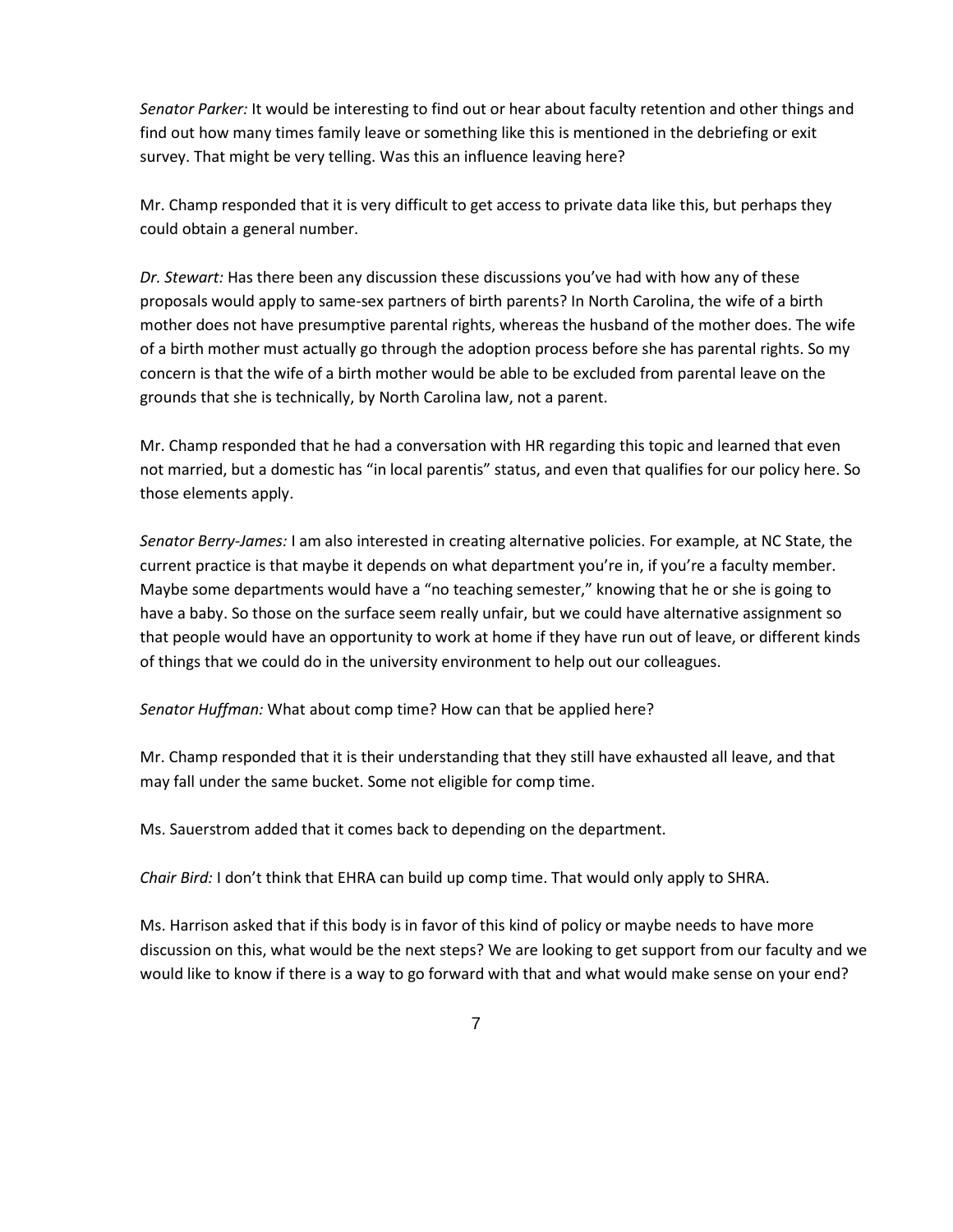*Senator Parker:* It would be interesting to find out or hear about faculty retention and other things and find out how many times family leave or something like this is mentioned in the debriefing or exit survey. That might be very telling. Was this an influence leaving here?

Mr. Champ responded that it is very difficult to get access to private data like this, but perhaps they could obtain a general number.

*Dr. Stewart:* Has there been any discussion these discussions you've had with how any of these proposals would apply to same-sex partners of birth parents? In North Carolina, the wife of a birth mother does not have presumptive parental rights, whereas the husband of the mother does. The wife of a birth mother must actually go through the adoption process before she has parental rights. So my concern is that the wife of a birth mother would be able to be excluded from parental leave on the grounds that she is technically, by North Carolina law, not a parent.

Mr. Champ responded that he had a conversation with HR regarding this topic and learned that even not married, but a domestic has "in local parentis" status, and even that qualifies for our policy here. So those elements apply.

*Senator Berry-James:* I am also interested in creating alternative policies. For example, at NC State, the current practice is that maybe it depends on what department you're in, if you're a faculty member. Maybe some departments would have a "no teaching semester," knowing that he or she is going to have a baby. So those on the surface seem really unfair, but we could have alternative assignment so that people would have an opportunity to work at home if they have run out of leave, or different kinds of things that we could do in the university environment to help out our colleagues.

*Senator Huffman:* What about comp time? How can that be applied here?

Mr. Champ responded that it is their understanding that they still have exhausted all leave, and that may fall under the same bucket. Some not eligible for comp time.

Ms. Sauerstrom added that it comes back to depending on the department.

*Chair Bird:* I don't think that EHRA can build up comp time. That would only apply to SHRA.

Ms. Harrison asked that if this body is in favor of this kind of policy or maybe needs to have more discussion on this, what would be the next steps? We are looking to get support from our faculty and we would like to know if there is a way to go forward with that and what would make sense on your end?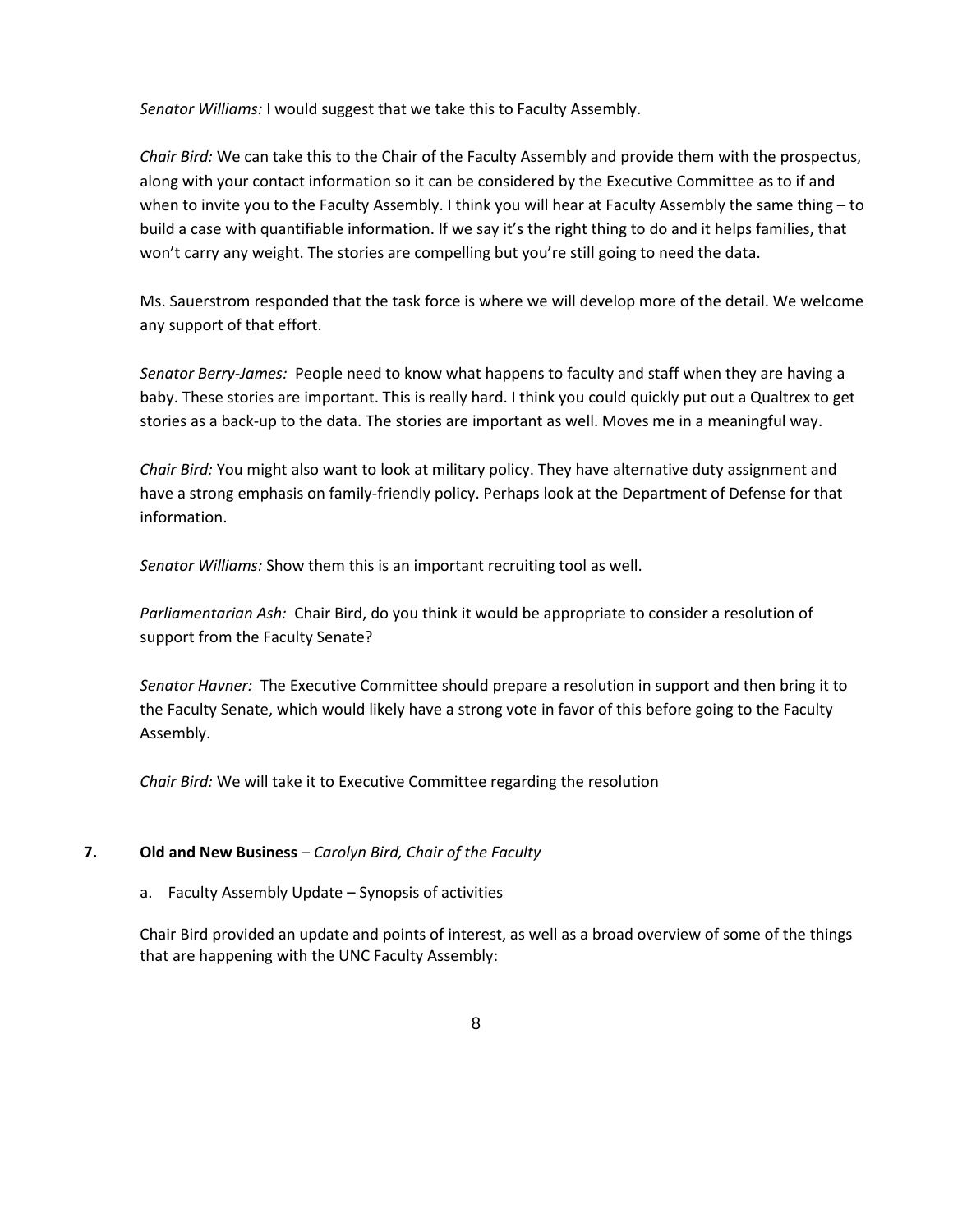*Senator Williams:* I would suggest that we take this to Faculty Assembly.

*Chair Bird:* We can take this to the Chair of the Faculty Assembly and provide them with the prospectus, along with your contact information so it can be considered by the Executive Committee as to if and when to invite you to the Faculty Assembly. I think you will hear at Faculty Assembly the same thing – to build a case with quantifiable information. If we say it's the right thing to do and it helps families, that won't carry any weight. The stories are compelling but you're still going to need the data.

Ms. Sauerstrom responded that the task force is where we will develop more of the detail. We welcome any support of that effort.

*Senator Berry-James:* People need to know what happens to faculty and staff when they are having a baby. These stories are important. This is really hard. I think you could quickly put out a Qualtrex to get stories as a back-up to the data. The stories are important as well. Moves me in a meaningful way.

*Chair Bird:* You might also want to look at military policy. They have alternative duty assignment and have a strong emphasis on family-friendly policy. Perhaps look at the Department of Defense for that information.

*Senator Williams:* Show them this is an important recruiting tool as well.

*Parliamentarian Ash:* Chair Bird, do you think it would be appropriate to consider a resolution of support from the Faculty Senate?

*Senator Havner:* The Executive Committee should prepare a resolution in support and then bring it to the Faculty Senate, which would likely have a strong vote in favor of this before going to the Faculty Assembly.

*Chair Bird:* We will take it to Executive Committee regarding the resolution

## **7. Old and New Business** – *Carolyn Bird, Chair of the Faculty*

### a. Faculty Assembly Update – Synopsis of activities

Chair Bird provided an update and points of interest, as well as a broad overview of some of the things that are happening with the UNC Faculty Assembly: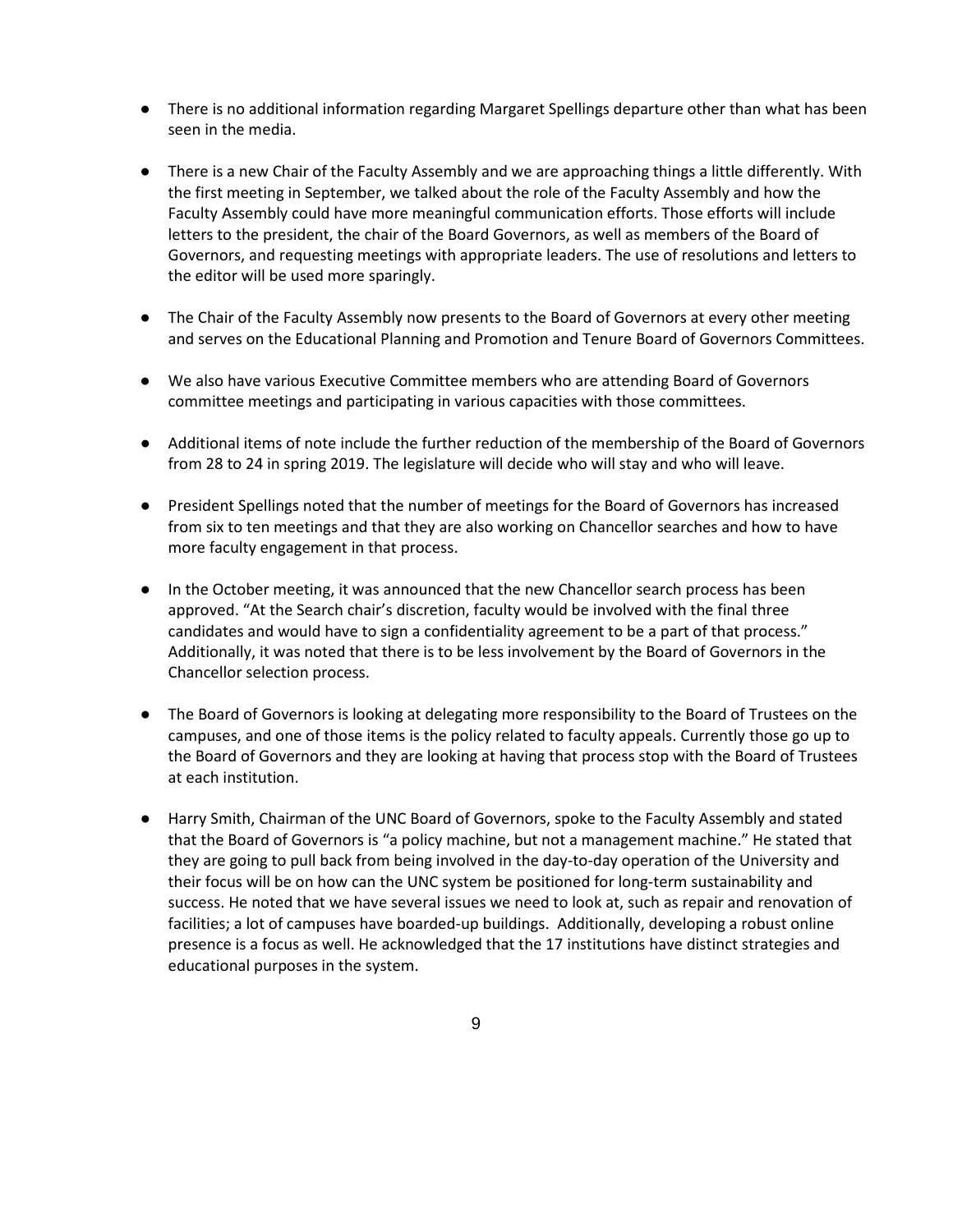- There is no additional information regarding Margaret Spellings departure other than what has been seen in the media.
- There is a new Chair of the Faculty Assembly and we are approaching things a little differently. With the first meeting in September, we talked about the role of the Faculty Assembly and how the Faculty Assembly could have more meaningful communication efforts. Those efforts will include letters to the president, the chair of the Board Governors, as well as members of the Board of Governors, and requesting meetings with appropriate leaders. The use of resolutions and letters to the editor will be used more sparingly.
- The Chair of the Faculty Assembly now presents to the Board of Governors at every other meeting and serves on the Educational Planning and Promotion and Tenure Board of Governors Committees.
- We also have various Executive Committee members who are attending Board of Governors committee meetings and participating in various capacities with those committees.
- Additional items of note include the further reduction of the membership of the Board of Governors from 28 to 24 in spring 2019. The legislature will decide who will stay and who will leave.
- President Spellings noted that the number of meetings for the Board of Governors has increased from six to ten meetings and that they are also working on Chancellor searches and how to have more faculty engagement in that process.
- In the October meeting, it was announced that the new Chancellor search process has been approved. "At the Search chair's discretion, faculty would be involved with the final three candidates and would have to sign a confidentiality agreement to be a part of that process." Additionally, it was noted that there is to be less involvement by the Board of Governors in the Chancellor selection process.
- The Board of Governors is looking at delegating more responsibility to the Board of Trustees on the campuses, and one of those items is the policy related to faculty appeals. Currently those go up to the Board of Governors and they are looking at having that process stop with the Board of Trustees at each institution.
- Harry Smith, Chairman of the UNC Board of Governors, spoke to the Faculty Assembly and stated that the Board of Governors is "a policy machine, but not a management machine." He stated that they are going to pull back from being involved in the day-to-day operation of the University and their focus will be on how can the UNC system be positioned for long-term sustainability and success. He noted that we have several issues we need to look at, such as repair and renovation of facilities; a lot of campuses have boarded-up buildings. Additionally, developing a robust online presence is a focus as well. He acknowledged that the 17 institutions have distinct strategies and educational purposes in the system.